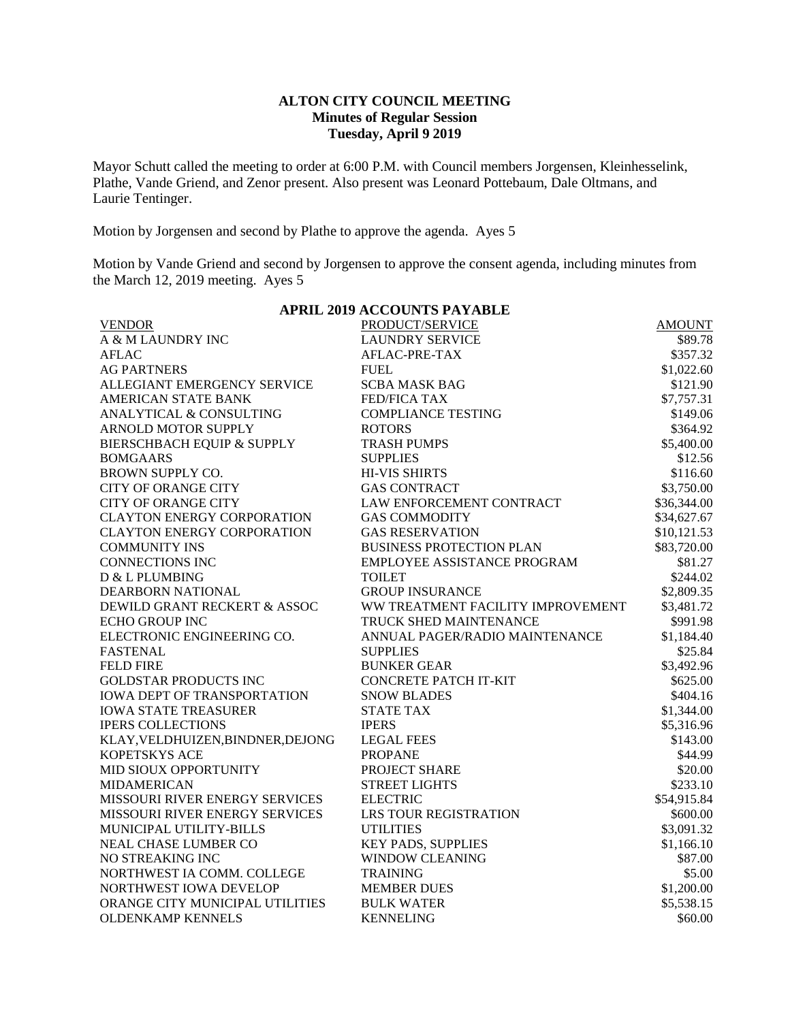## **ALTON CITY COUNCIL MEETING Minutes of Regular Session Tuesday, April 9 2019**

Mayor Schutt called the meeting to order at 6:00 P.M. with Council members Jorgensen, Kleinhesselink, Plathe, Vande Griend, and Zenor present. Also present was Leonard Pottebaum, Dale Oltmans, and Laurie Tentinger.

Motion by Jorgensen and second by Plathe to approve the agenda. Ayes 5

Motion by Vande Griend and second by Jorgensen to approve the consent agenda, including minutes from the March 12, 2019 meeting. Ayes 5

| <b>APRIL 2019 ACCOUNTS PAYABLE</b>    |                                   |               |  |  |  |
|---------------------------------------|-----------------------------------|---------------|--|--|--|
| <b>VENDOR</b>                         | PRODUCT/SERVICE                   | <b>AMOUNT</b> |  |  |  |
| A & M LAUNDRY INC                     | <b>LAUNDRY SERVICE</b>            | \$89.78       |  |  |  |
| <b>AFLAC</b>                          | AFLAC-PRE-TAX                     | \$357.32      |  |  |  |
| <b>AG PARTNERS</b>                    | <b>FUEL</b>                       | \$1,022.60    |  |  |  |
| ALLEGIANT EMERGENCY SERVICE           | <b>SCBA MASK BAG</b>              | \$121.90      |  |  |  |
| <b>AMERICAN STATE BANK</b>            | <b>FED/FICA TAX</b>               | \$7,757.31    |  |  |  |
| ANALYTICAL & CONSULTING               | <b>COMPLIANCE TESTING</b>         | \$149.06      |  |  |  |
| ARNOLD MOTOR SUPPLY                   | <b>ROTORS</b>                     | \$364.92      |  |  |  |
| <b>BIERSCHBACH EQUIP &amp; SUPPLY</b> | <b>TRASH PUMPS</b>                | \$5,400.00    |  |  |  |
| <b>BOMGAARS</b>                       | <b>SUPPLIES</b>                   | \$12.56       |  |  |  |
| <b>BROWN SUPPLY CO.</b>               | <b>HI-VIS SHIRTS</b>              | \$116.60      |  |  |  |
| <b>CITY OF ORANGE CITY</b>            | <b>GAS CONTRACT</b>               | \$3,750.00    |  |  |  |
| <b>CITY OF ORANGE CITY</b>            | LAW ENFORCEMENT CONTRACT          | \$36,344.00   |  |  |  |
| <b>CLAYTON ENERGY CORPORATION</b>     | <b>GAS COMMODITY</b>              | \$34,627.67   |  |  |  |
| <b>CLAYTON ENERGY CORPORATION</b>     | <b>GAS RESERVATION</b>            | \$10,121.53   |  |  |  |
| <b>COMMUNITY INS</b>                  | <b>BUSINESS PROTECTION PLAN</b>   | \$83,720.00   |  |  |  |
| <b>CONNECTIONS INC</b>                | EMPLOYEE ASSISTANCE PROGRAM       | \$81.27       |  |  |  |
| D & L PLUMBING                        | <b>TOILET</b>                     | \$244.02      |  |  |  |
| DEARBORN NATIONAL                     | <b>GROUP INSURANCE</b>            | \$2,809.35    |  |  |  |
| DEWILD GRANT RECKERT & ASSOC          | WW TREATMENT FACILITY IMPROVEMENT | \$3,481.72    |  |  |  |
| <b>ECHO GROUP INC</b>                 | TRUCK SHED MAINTENANCE            | \$991.98      |  |  |  |
| ELECTRONIC ENGINEERING CO.            | ANNUAL PAGER/RADIO MAINTENANCE    | \$1,184.40    |  |  |  |
| <b>FASTENAL</b>                       | <b>SUPPLIES</b>                   | \$25.84       |  |  |  |
| <b>FELD FIRE</b>                      | <b>BUNKER GEAR</b>                | \$3,492.96    |  |  |  |
| <b>GOLDSTAR PRODUCTS INC</b>          | <b>CONCRETE PATCH IT-KIT</b>      | \$625.00      |  |  |  |
| <b>IOWA DEPT OF TRANSPORTATION</b>    | <b>SNOW BLADES</b>                | \$404.16      |  |  |  |
| <b>IOWA STATE TREASURER</b>           | <b>STATE TAX</b>                  | \$1,344.00    |  |  |  |
| <b>IPERS COLLECTIONS</b>              | <b>IPERS</b>                      | \$5,316.96    |  |  |  |
| KLAY, VELDHUIZEN, BINDNER, DEJONG     | <b>LEGAL FEES</b>                 | \$143.00      |  |  |  |
| KOPETSKYS ACE                         | <b>PROPANE</b>                    | \$44.99       |  |  |  |
| MID SIOUX OPPORTUNITY                 | PROJECT SHARE                     | \$20.00       |  |  |  |
| <b>MIDAMERICAN</b>                    | <b>STREET LIGHTS</b>              | \$233.10      |  |  |  |
| MISSOURI RIVER ENERGY SERVICES        | <b>ELECTRIC</b>                   | \$54,915.84   |  |  |  |
| <b>MISSOURI RIVER ENERGY SERVICES</b> | <b>LRS TOUR REGISTRATION</b>      | \$600.00      |  |  |  |
| MUNICIPAL UTILITY-BILLS               | <b>UTILITIES</b>                  | \$3,091.32    |  |  |  |
| <b>NEAL CHASE LUMBER CO</b>           | <b>KEY PADS, SUPPLIES</b>         | \$1,166.10    |  |  |  |
| NO STREAKING INC                      | WINDOW CLEANING                   | \$87.00       |  |  |  |
| NORTHWEST IA COMM. COLLEGE            | <b>TRAINING</b>                   | \$5.00        |  |  |  |
| NORTHWEST IOWA DEVELOP                | <b>MEMBER DUES</b>                | \$1,200.00    |  |  |  |
| ORANGE CITY MUNICIPAL UTILITIES       | <b>BULK WATER</b>                 | \$5,538.15    |  |  |  |
| <b>OLDENKAMP KENNELS</b>              | <b>KENNELING</b>                  | \$60.00       |  |  |  |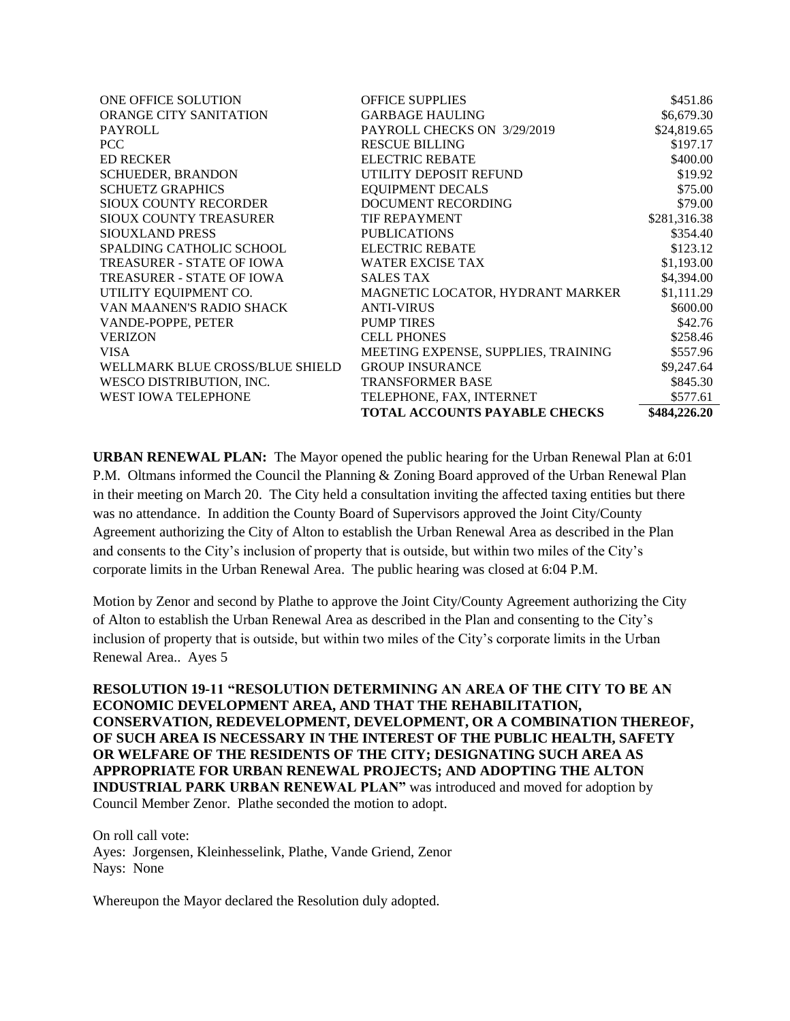| ONE OFFICE SOLUTION              | <b>OFFICE SUPPLIES</b>               | \$451.86     |
|----------------------------------|--------------------------------------|--------------|
| <b>ORANGE CITY SANITATION</b>    | <b>GARBAGE HAULING</b>               | \$6,679.30   |
| <b>PAYROLL</b>                   | PAYROLL CHECKS ON 3/29/2019          | \$24,819.65  |
| PCC.                             | <b>RESCUE BILLING</b>                | \$197.17     |
| <b>ED RECKER</b>                 | <b>ELECTRIC REBATE</b>               | \$400.00     |
| <b>SCHUEDER, BRANDON</b>         | UTILITY DEPOSIT REFUND               | \$19.92      |
| <b>SCHUETZ GRAPHICS</b>          | <b>EQUIPMENT DECALS</b>              | \$75.00      |
| <b>SIOUX COUNTY RECORDER</b>     | DOCUMENT RECORDING                   | \$79.00      |
| SIOUX COUNTY TREASURER           | <b>TIF REPAYMENT</b>                 | \$281,316.38 |
| SIOUXLAND PRESS                  | <b>PUBLICATIONS</b>                  | \$354.40     |
| <b>SPALDING CATHOLIC SCHOOL</b>  | <b>ELECTRIC REBATE</b>               | \$123.12     |
| TREASURER - STATE OF IOWA        | <b>WATER EXCISE TAX</b>              | \$1,193.00   |
| <b>TREASURER - STATE OF IOWA</b> | <b>SALES TAX</b>                     | \$4,394.00   |
| UTILITY EQUIPMENT CO.            | MAGNETIC LOCATOR, HYDRANT MARKER     | \$1,111.29   |
| VAN MAANEN'S RADIO SHACK         | <b>ANTI-VIRUS</b>                    | \$600.00     |
| VANDE-POPPE, PETER               | <b>PUMP TIRES</b>                    | \$42.76      |
| <b>VERIZON</b>                   | <b>CELL PHONES</b>                   | \$258.46     |
| <b>VISA</b>                      | MEETING EXPENSE, SUPPLIES, TRAINING  | \$557.96     |
| WELLMARK BLUE CROSS/BLUE SHIELD  | <b>GROUP INSURANCE</b>               | \$9,247.64   |
| WESCO DISTRIBUTION, INC.         | <b>TRANSFORMER BASE</b>              | \$845.30     |
| WEST IOWA TELEPHONE              | TELEPHONE, FAX, INTERNET             | \$577.61     |
|                                  | <b>TOTAL ACCOUNTS PAYABLE CHECKS</b> | \$484,226.20 |

**URBAN RENEWAL PLAN:** The Mayor opened the public hearing for the Urban Renewal Plan at 6:01 P.M. Oltmans informed the Council the Planning & Zoning Board approved of the Urban Renewal Plan in their meeting on March 20. The City held a consultation inviting the affected taxing entities but there was no attendance. In addition the County Board of Supervisors approved the Joint City/County Agreement authorizing the City of Alton to establish the Urban Renewal Area as described in the Plan and consents to the City's inclusion of property that is outside, but within two miles of the City's corporate limits in the Urban Renewal Area. The public hearing was closed at 6:04 P.M.

Motion by Zenor and second by Plathe to approve the Joint City/County Agreement authorizing the City of Alton to establish the Urban Renewal Area as described in the Plan and consenting to the City's inclusion of property that is outside, but within two miles of the City's corporate limits in the Urban Renewal Area.. Ayes 5

**RESOLUTION 19-11 "RESOLUTION DETERMINING AN AREA OF THE CITY TO BE AN ECONOMIC DEVELOPMENT AREA, AND THAT THE REHABILITATION, CONSERVATION, REDEVELOPMENT, DEVELOPMENT, OR A COMBINATION THEREOF, OF SUCH AREA IS NECESSARY IN THE INTEREST OF THE PUBLIC HEALTH, SAFETY OR WELFARE OF THE RESIDENTS OF THE CITY; DESIGNATING SUCH AREA AS APPROPRIATE FOR URBAN RENEWAL PROJECTS; AND ADOPTING THE ALTON INDUSTRIAL PARK URBAN RENEWAL PLAN"** was introduced and moved for adoption by Council Member Zenor. Plathe seconded the motion to adopt.

On roll call vote: Ayes: Jorgensen, Kleinhesselink, Plathe, Vande Griend, Zenor Nays: None

Whereupon the Mayor declared the Resolution duly adopted.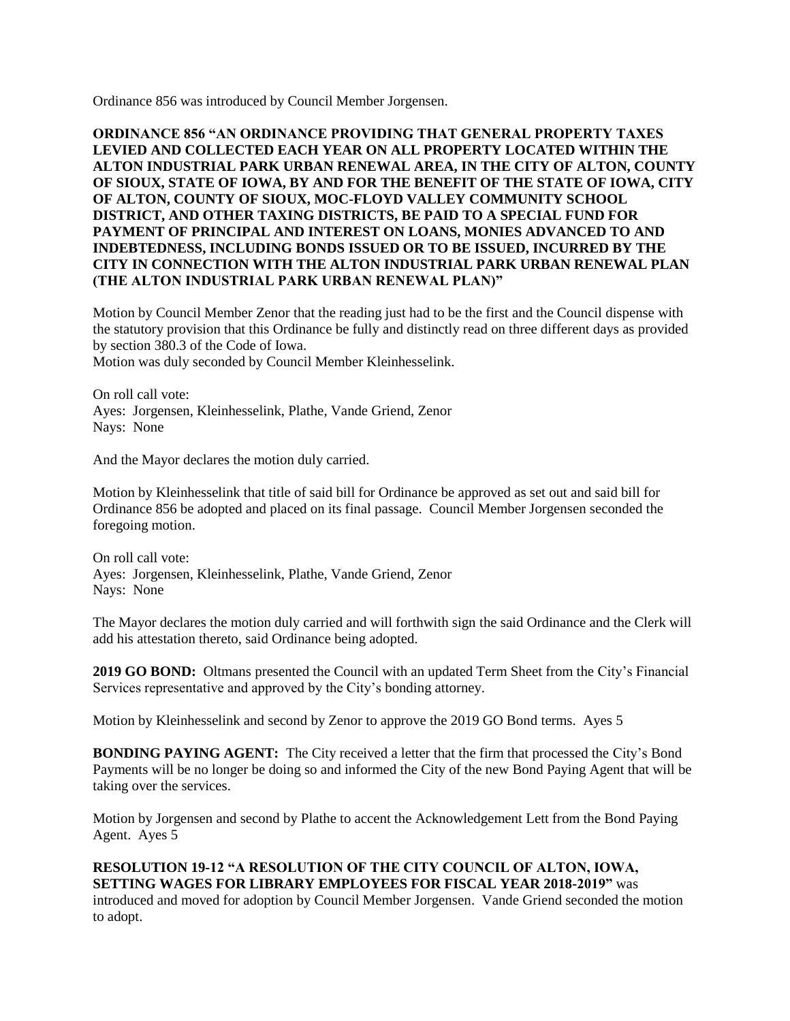Ordinance 856 was introduced by Council Member Jorgensen.

**ORDINANCE 856 "AN ORDINANCE PROVIDING THAT GENERAL PROPERTY TAXES LEVIED AND COLLECTED EACH YEAR ON ALL PROPERTY LOCATED WITHIN THE ALTON INDUSTRIAL PARK URBAN RENEWAL AREA, IN THE CITY OF ALTON, COUNTY OF SIOUX, STATE OF IOWA, BY AND FOR THE BENEFIT OF THE STATE OF IOWA, CITY OF ALTON, COUNTY OF SIOUX, MOC-FLOYD VALLEY COMMUNITY SCHOOL DISTRICT, AND OTHER TAXING DISTRICTS, BE PAID TO A SPECIAL FUND FOR PAYMENT OF PRINCIPAL AND INTEREST ON LOANS, MONIES ADVANCED TO AND INDEBTEDNESS, INCLUDING BONDS ISSUED OR TO BE ISSUED, INCURRED BY THE CITY IN CONNECTION WITH THE ALTON INDUSTRIAL PARK URBAN RENEWAL PLAN (THE ALTON INDUSTRIAL PARK URBAN RENEWAL PLAN)"** 

Motion by Council Member Zenor that the reading just had to be the first and the Council dispense with the statutory provision that this Ordinance be fully and distinctly read on three different days as provided by section 380.3 of the Code of Iowa.

Motion was duly seconded by Council Member Kleinhesselink.

On roll call vote: Ayes: Jorgensen, Kleinhesselink, Plathe, Vande Griend, Zenor Nays: None

And the Mayor declares the motion duly carried.

Motion by Kleinhesselink that title of said bill for Ordinance be approved as set out and said bill for Ordinance 856 be adopted and placed on its final passage. Council Member Jorgensen seconded the foregoing motion.

On roll call vote: Ayes: Jorgensen, Kleinhesselink, Plathe, Vande Griend, Zenor Nays: None

The Mayor declares the motion duly carried and will forthwith sign the said Ordinance and the Clerk will add his attestation thereto, said Ordinance being adopted.

**2019 GO BOND:** Oltmans presented the Council with an updated Term Sheet from the City's Financial Services representative and approved by the City's bonding attorney.

Motion by Kleinhesselink and second by Zenor to approve the 2019 GO Bond terms. Ayes 5

**BONDING PAYING AGENT:** The City received a letter that the firm that processed the City's Bond Payments will be no longer be doing so and informed the City of the new Bond Paying Agent that will be taking over the services.

Motion by Jorgensen and second by Plathe to accent the Acknowledgement Lett from the Bond Paying Agent. Ayes 5

## **RESOLUTION 19-12 "A RESOLUTION OF THE CITY COUNCIL OF ALTON, IOWA, SETTING WAGES FOR LIBRARY EMPLOYEES FOR FISCAL YEAR 2018-2019"** was

introduced and moved for adoption by Council Member Jorgensen. Vande Griend seconded the motion to adopt.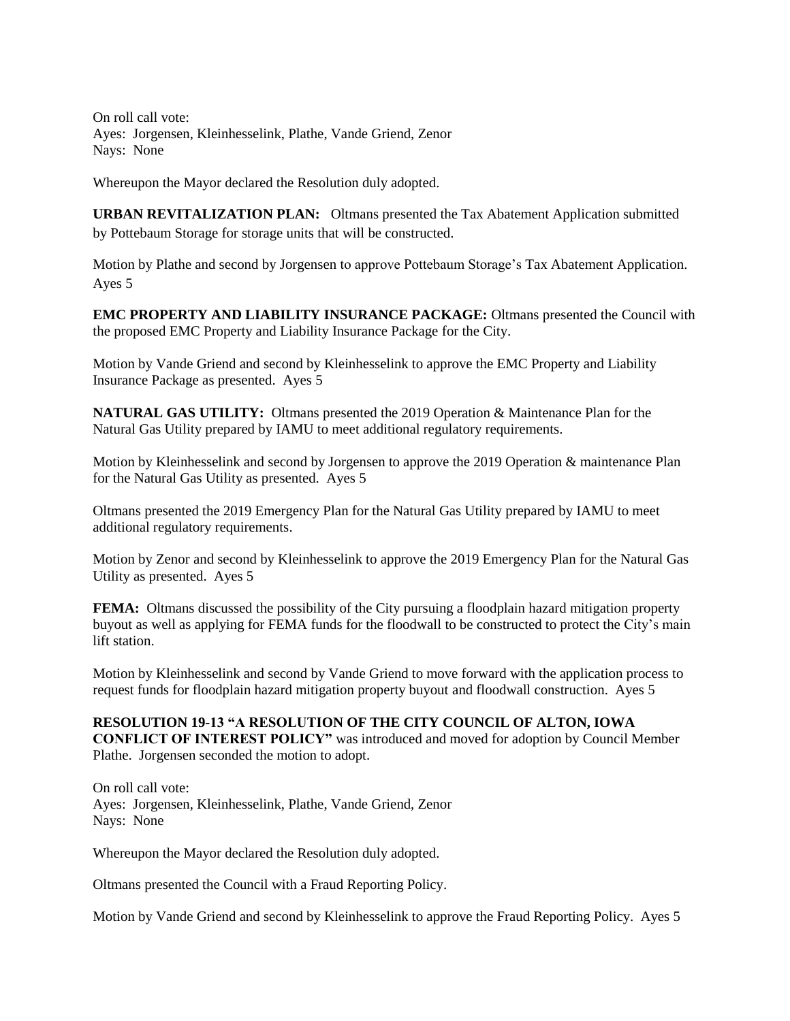On roll call vote: Ayes: Jorgensen, Kleinhesselink, Plathe, Vande Griend, Zenor Nays: None

Whereupon the Mayor declared the Resolution duly adopted.

**URBAN REVITALIZATION PLAN:** Oltmans presented the Tax Abatement Application submitted by Pottebaum Storage for storage units that will be constructed.

Motion by Plathe and second by Jorgensen to approve Pottebaum Storage's Tax Abatement Application. Ayes 5

**EMC PROPERTY AND LIABILITY INSURANCE PACKAGE:** Oltmans presented the Council with the proposed EMC Property and Liability Insurance Package for the City.

Motion by Vande Griend and second by Kleinhesselink to approve the EMC Property and Liability Insurance Package as presented. Ayes 5

**NATURAL GAS UTILITY:** Oltmans presented the 2019 Operation & Maintenance Plan for the Natural Gas Utility prepared by IAMU to meet additional regulatory requirements.

Motion by Kleinhesselink and second by Jorgensen to approve the 2019 Operation & maintenance Plan for the Natural Gas Utility as presented. Ayes 5

Oltmans presented the 2019 Emergency Plan for the Natural Gas Utility prepared by IAMU to meet additional regulatory requirements.

Motion by Zenor and second by Kleinhesselink to approve the 2019 Emergency Plan for the Natural Gas Utility as presented. Ayes 5

**FEMA:** Oltmans discussed the possibility of the City pursuing a floodplain hazard mitigation property buyout as well as applying for FEMA funds for the floodwall to be constructed to protect the City's main lift station.

Motion by Kleinhesselink and second by Vande Griend to move forward with the application process to request funds for floodplain hazard mitigation property buyout and floodwall construction. Ayes 5

## **RESOLUTION 19-13 "A RESOLUTION OF THE CITY COUNCIL OF ALTON, IOWA**

**CONFLICT OF INTEREST POLICY"** was introduced and moved for adoption by Council Member Plathe. Jorgensen seconded the motion to adopt.

On roll call vote: Ayes: Jorgensen, Kleinhesselink, Plathe, Vande Griend, Zenor Nays: None

Whereupon the Mayor declared the Resolution duly adopted.

Oltmans presented the Council with a Fraud Reporting Policy.

Motion by Vande Griend and second by Kleinhesselink to approve the Fraud Reporting Policy. Ayes 5